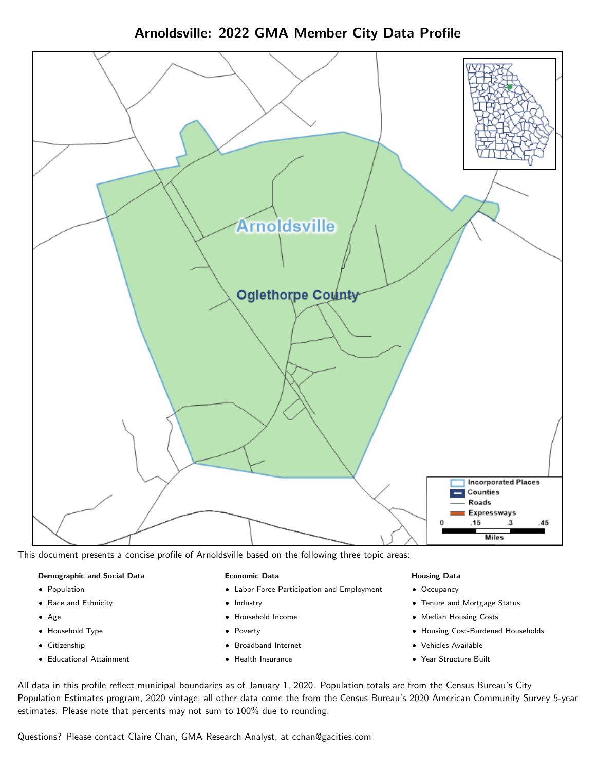# Arnoldsville: 2022 GMA Member City Data Profile



This document presents a concise profile of Arnoldsville based on the following three topic areas:

#### Demographic and Social Data

- **•** Population
- Race and Ethnicity
- Age
- Household Type
- **Citizenship**
- Educational Attainment

### Economic Data

- Labor Force Participation and Employment
- Industry
- Household Income
- Poverty
- Broadband Internet
- Health Insurance

#### Housing Data

- Occupancy
- Tenure and Mortgage Status
- Median Housing Costs
- Housing Cost-Burdened Households
- Vehicles Available
- Year Structure Built

All data in this profile reflect municipal boundaries as of January 1, 2020. Population totals are from the Census Bureau's City Population Estimates program, 2020 vintage; all other data come the from the Census Bureau's 2020 American Community Survey 5-year estimates. Please note that percents may not sum to 100% due to rounding.

Questions? Please contact Claire Chan, GMA Research Analyst, at [cchan@gacities.com.](mailto:cchan@gacities.com)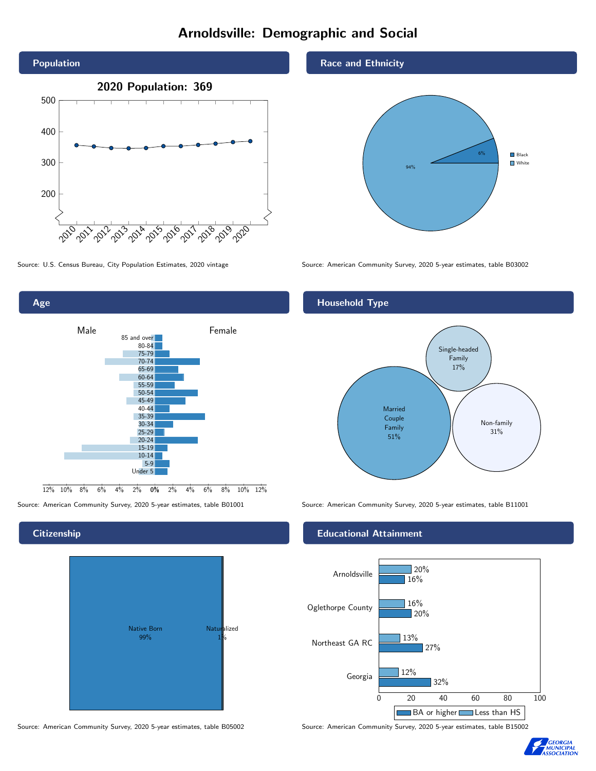# Arnoldsville: Demographic and Social



0% 2% 4% 6% 8% 10% 12% Male **Female**  $12\%$  10% 8% 6% 4% 85 and over 80-84 75-79 70-74 65-69 60-64 55-59 50-54 45-49 40-44 35-39 30-34 25-29 20-24 15-19  $10-14$ 5-9 Under 5

# **Citizenship**

Age



#### Source: American Community Survey, 2020 5-year estimates, table B05002 Source: American Community Survey, 2020 5-year estimates, table B15002

Race and Ethnicity



Source: U.S. Census Bureau, City Population Estimates, 2020 vintage Source: American Community Survey, 2020 5-year estimates, table B03002

# Household Type



Source: American Community Survey, 2020 5-year estimates, table B01001 Source: American Community Survey, 2020 5-year estimates, table B11001

### Educational Attainment



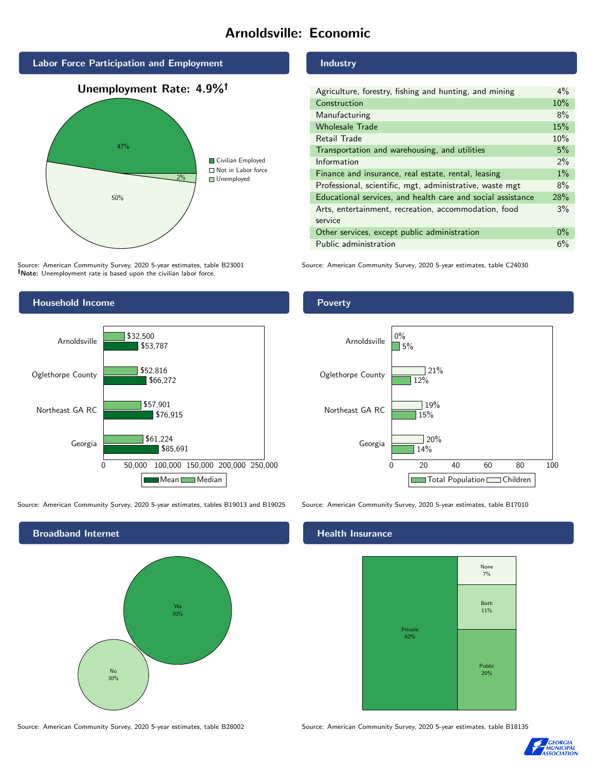# Arnoldsville: Economic



Source: American Community Survey, 2020 5-year estimates, table B23001 Note: Unemployment rate is based upon the civilian labor force.

# Household Income



Source: American Community Survey, 2020 5-year estimates, tables B19013 and B19025 Source: American Community Survey, 2020 5-year estimates, table B17010



Source: American Community Survey, 2020 5-year estimates, table B28002 Source: American Community Survey, 2020 5-year estimates, table B18135

### Industry

| Agriculture, forestry, fishing and hunting, and mining      | $4\%$ |
|-------------------------------------------------------------|-------|
| Construction                                                | 10%   |
| Manufacturing                                               | 8%    |
| <b>Wholesale Trade</b>                                      | 15%   |
| Retail Trade                                                | 10%   |
| Transportation and warehousing, and utilities               | 5%    |
| Information                                                 | $2\%$ |
| Finance and insurance, real estate, rental, leasing         | $1\%$ |
| Professional, scientific, mgt, administrative, waste mgt    | 8%    |
| Educational services, and health care and social assistance | 28%   |
| Arts, entertainment, recreation, accommodation, food        | 3%    |
| service                                                     |       |
| Other services, except public administration                | $0\%$ |
| Public administration                                       | 6%    |

Source: American Community Survey, 2020 5-year estimates, table C24030

### Poverty



# **Health Insurance**